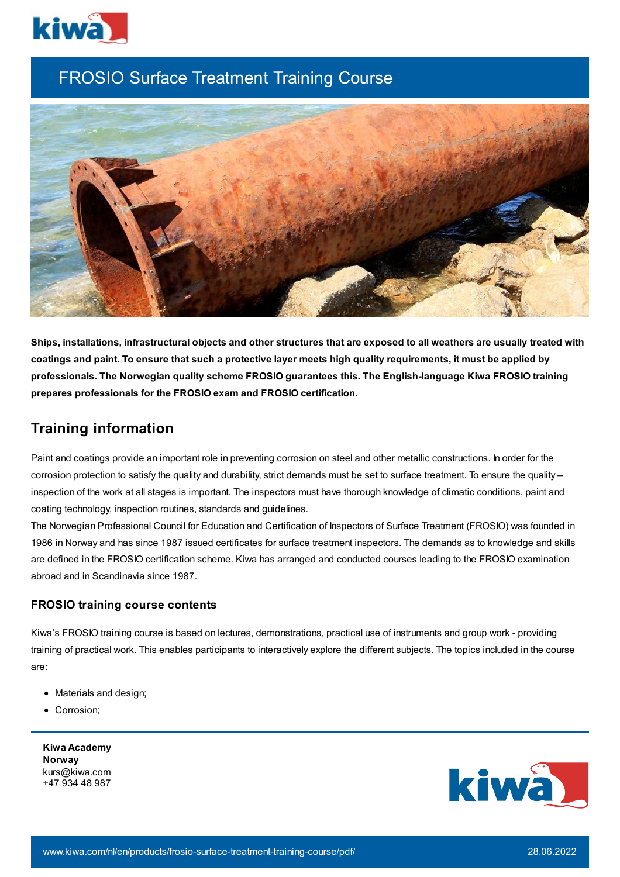

# FROSIO Surface Treatment Training Course



Ships, installations, infrastructural objects and other structures that are exposed to all weathers are usually treated with coatings and paint. To ensure that such a protective layer meets high quality requirements, it must be applied by **professionals. The Norwegian quality scheme FROSIO guarantees this. The English-language Kiwa FROSIO training prepares professionals for the FROSIO exam and FROSIO certification.**

## **Training information**

Paint and coatings provide an important role in preventing corrosion on steel and other metallic constructions. In order for the corrosion protection to satisfy the quality and durability, strict demands must be set to surface treatment. To ensure the quality inspection of the work at all stages is important. The inspectors must have thorough knowledge of climatic conditions, paint and coating technology, inspection routines, standards and guidelines.

The Norwegian Professional Council for Education and Certification of Inspectors of Surface Treatment (FROSIO) was founded in 1986 in Norway and has since 1987 issued certificates for surface treatment inspectors. The demands as to knowledge and skills are defined in the FROSIO certification scheme. Kiwa has arranged and conducted courses leading to the FROSIO examination abroad and in Scandinavia since 1987.

### **FROSIO training course contents**

Kiwa's FROSIO training course is based on lectures, demonstrations, practical use of instruments and group work - providing training of practical work. This enables participants to interactively explore the different subjects. The topics included in the course are:

- Materials and design;
- Corrosion;

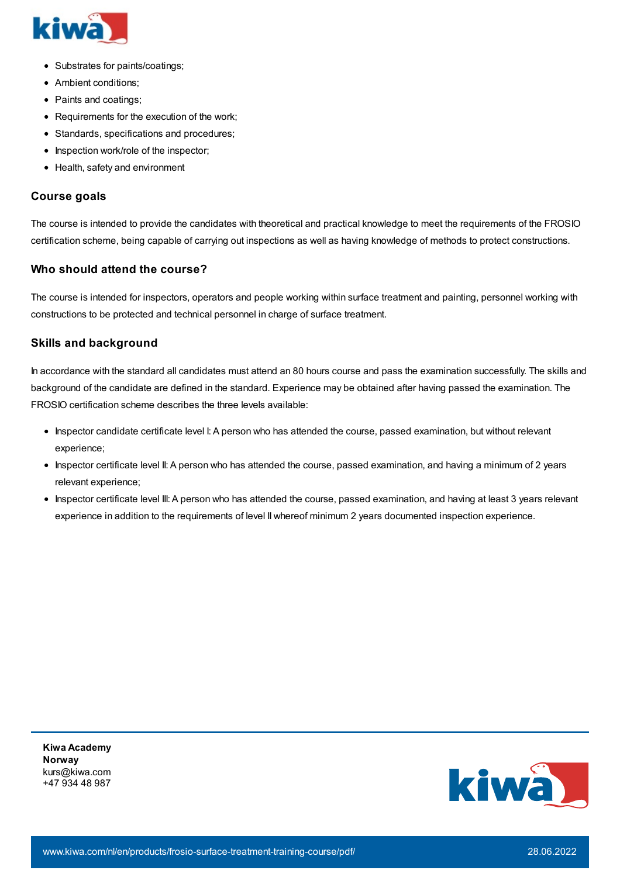

- Substrates for paints/coatings;
- Ambient conditions;
- Paints and coatings;
- Requirements for the execution of the work;
- Standards, specifications and procedures;
- Inspection work/role of the inspector;
- Health, safety and environment

#### **Course goals**

The course is intended to provide the candidates with theoretical and practical knowledge to meet the requirements of the FROSIO certification scheme, being capable of carrying out inspections as well as having knowledge of methods to protect constructions.

#### **Who should attend the course?**

The course is intended for inspectors, operators and people working within surface treatment and painting, personnel working with constructions to be protected and technical personnel in charge of surface treatment.

#### **Skills and background**

In accordance with the standard all candidates must attend an 80 hours course and pass the examination successfully. The skills and background of the candidate are defined in the standard. Experience may be obtained after having passed the examination. The FROSIO certification scheme describes the three levels available:

- Inspector candidate certificate level I: A person who has attended the course, passed examination, but without relevant experience;
- Inspector certificate level II: A person who has attended the course, passed examination, and having a minimum of 2 years relevant experience;
- Inspector certificate level III: A person who has attended the course, passed examination, and having at least 3 years relevant experience in addition to the requirements of level II whereof minimum 2 years documented inspection experience.

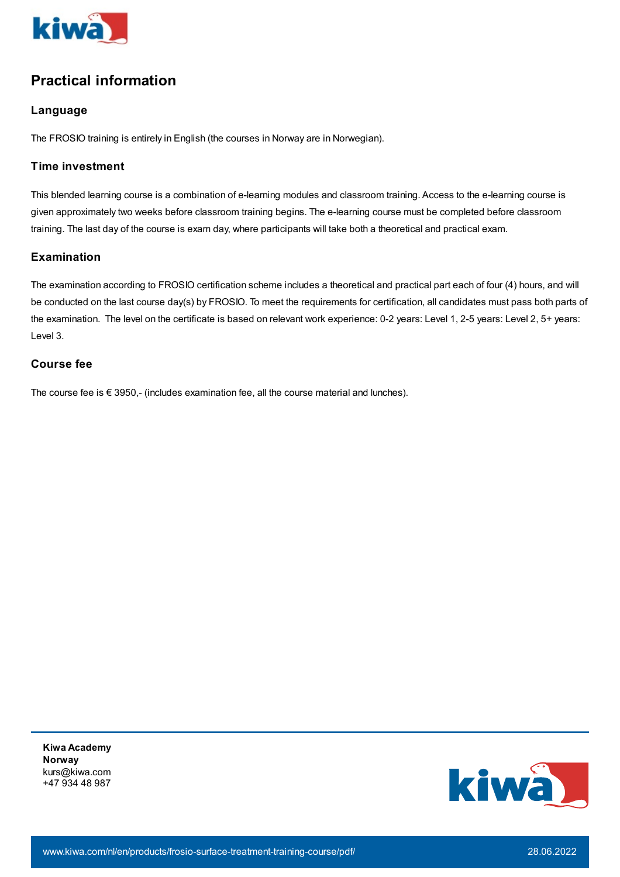

# **Practical information**

### **Language**

The FROSIO training is entirely in English (the courses in Norway are in Norwegian).

### **Time investment**

This blended learning course is a combination of e-learning modules and classroom training. Access to the e-learning course is given approximately two weeks before classroom training begins. The e-learning course must be completed before classroom training. The last day of the course is exam day, where participants will take both a theoretical and practical exam.

### **Examination**

The examination according to FROSIO certification scheme includes a theoretical and practical part each of four (4) hours, and will be conducted on the last course day(s) by FROSIO. To meet the requirements for certification, all candidates must pass both parts of the examination. The level on the certificate is based on relevant work experience: 0-2 years: Level 1, 2-5 years: Level 2, 5+ years: Level 3.

### **Course fee**

The course fee is  $\epsilon$  3950,- (includes examination fee, all the course material and lunches).